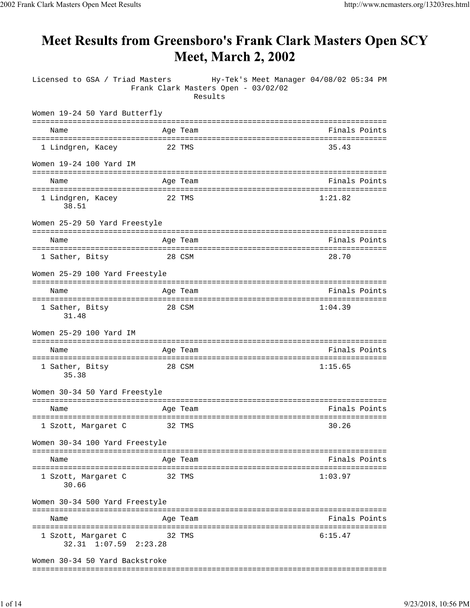## Meet Results from Greensboro's Frank Clark Masters Open SCY **Meet, March 2, 2002**

| Licensed to GSA / Triad Masters                                      | Frank Clark Masters Open - 03/02/02<br>Results | Hy-Tek's Meet Manager 04/08/02 05:34 PM |
|----------------------------------------------------------------------|------------------------------------------------|-----------------------------------------|
| Women 19-24 50 Yard Butterfly                                        |                                                |                                         |
| Name                                                                 | Age Team                                       | Finals Points                           |
| 1 Lindgren, Kacey                                                    | 22 TMS                                         | 35.43                                   |
| Women 19-24 100 Yard IM                                              |                                                |                                         |
| Name                                                                 | Age Team                                       | Finals Points                           |
| ======================================<br>1 Lindgren, Kacey<br>38.51 | 22 TMS                                         | 1:21.82                                 |
| Women 25-29 50 Yard Freestyle                                        |                                                |                                         |
| Name                                                                 | Age Team                                       | Finals Points                           |
| 1 Sather, Bitsy                                                      | 28 CSM                                         | 28.70                                   |
| Women 25-29 100 Yard Freestyle                                       |                                                |                                         |
| Name                                                                 | Age Team                                       | Finals Points                           |
| 1 Sather, Bitsy<br>31.48                                             | 28 CSM                                         | 1:04.39                                 |
| Women 25-29 100 Yard IM                                              |                                                |                                         |
| Name                                                                 | Age Team                                       | Finals Points                           |
| 1 Sather, Bitsy<br>35.38                                             | 28 CSM                                         | 1:15.65                                 |
| Women 30-34 50 Yard Freestyle                                        |                                                |                                         |
| Name                                                                 | Age Team                                       | Finals Points                           |
| 1 Szott, Margaret C                                                  | 32 TMS                                         | 30.26                                   |
| Women 30-34 100 Yard Freestyle                                       |                                                |                                         |
| Name                                                                 | Age Team                                       | Finals Points                           |
| 1 Szott, Margaret C<br>30.66                                         | 32 TMS                                         | 1:03.97                                 |
| Women 30-34 500 Yard Freestyle                                       |                                                |                                         |
| Name                                                                 | Age Team                                       | Finals Points                           |
| 1 Szott, Margaret C<br>32.31 1:07.59 2:23.28                         | 32 TMS                                         | 6:15.47                                 |
| Women 30-34 50 Yard Backstroke                                       |                                                |                                         |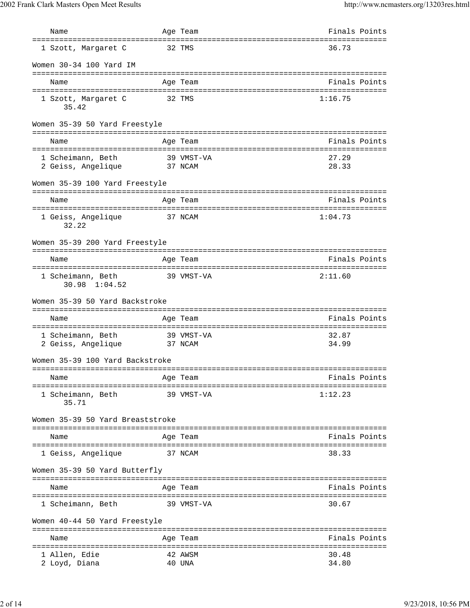| Name                                                                   |              | Age Team                 | Finals Points                                  |
|------------------------------------------------------------------------|--------------|--------------------------|------------------------------------------------|
| 1 Szott, Margaret C                                                    |              | 32 TMS                   | 36.73                                          |
| Women 30-34 100 Yard IM                                                |              |                          |                                                |
| Name                                                                   |              | Age Team                 | Finals Points                                  |
| 1 Szott, Margaret C<br>35.42                                           |              | 32 TMS                   | 1:16.75                                        |
| Women 35-39 50 Yard Freestyle                                          |              |                          |                                                |
| Name                                                                   |              | Age Team                 | =============================<br>Finals Points |
| 1 Scheimann, Beth<br>2 Geiss, Angelique                                | 37 NCAM      | 39 VMST-VA               | 27.29<br>28.33                                 |
| Women 35-39 100 Yard Freestyle                                         |              |                          |                                                |
| Name                                                                   |              | Age Team                 | Finals Points                                  |
| 1 Geiss, Angelique<br>32.22                                            |              | 37 NCAM                  | 1:04.73                                        |
| Women 35-39 200 Yard Freestyle                                         |              |                          |                                                |
| Name                                                                   |              | :===========<br>Age Team | Finals Points                                  |
| ,,,,,,,,,,,,,,,,,,,,,,,,,,,,<br>1 Scheimann, Beth<br>$30.98$ $1:04.52$ | ------------ | 39 VMST-VA               | 2:11.60                                        |
| Women 35-39 50 Yard Backstroke                                         |              |                          |                                                |
| Name                                                                   |              | Age Team                 | Finals Points                                  |
| 1 Scheimann, Beth<br>2 Geiss, Angelique                                |              | 39 VMST-VA<br>37 NCAM    | 32.87<br>34.99                                 |
| Women 35-39 100 Yard Backstroke                                        |              |                          |                                                |
| Name                                                                   |              | Age Team                 | ===========================<br>Finals Points   |
| ======================<br>1 Scheimann, Beth<br>35.71                   |              | 39 VMST-VA               | 1:12.23                                        |
| Women 35-39 50 Yard Breaststroke                                       |              |                          |                                                |
| Name                                                                   |              | Age Team                 | Finals Points                                  |
| 1 Geiss, Angelique                                                     |              | 37 NCAM                  | 38.33                                          |
| Women 35-39 50 Yard Butterfly                                          |              |                          |                                                |
| Name                                                                   |              | Age Team                 | Finals Points                                  |
| ==========================<br>1 Scheimann, Beth                        |              | 39 VMST-VA               | 30.67                                          |
| Women 40-44 50 Yard Freestyle                                          |              |                          |                                                |
| Name                                                                   |              | Age Team                 | Finals Points                                  |
| 1 Allen, Edie<br>2 Loyd, Diana                                         |              | 42 AWSM<br>40 UNA        | 30.48<br>34.80                                 |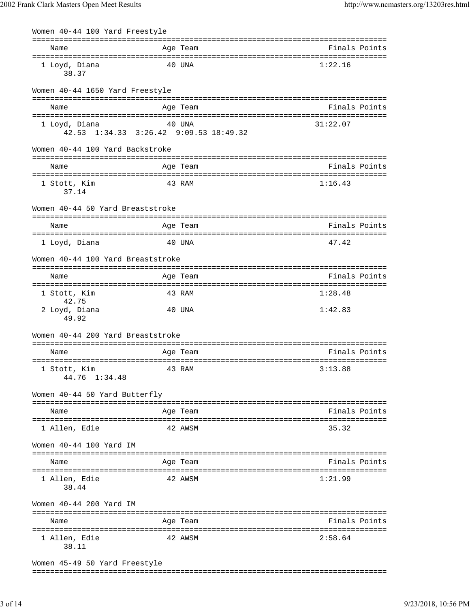| Women 40-44 100 Yard Freestyle                          |        |          |               |
|---------------------------------------------------------|--------|----------|---------------|
| Name                                                    |        | Age Team | Finals Points |
| 1 Loyd, Diana<br>38.37                                  | 40 UNA |          | 1:22.16       |
| Women 40-44 1650 Yard Freestyle                         |        |          |               |
| Name                                                    |        | Age Team | Finals Points |
| 1 Loyd, Diana<br>42.53 1:34.33 3:26.42 9:09.53 18:49.32 |        | 40 UNA   | 31:22.07      |
| Women 40-44 100 Yard Backstroke                         |        |          |               |
| Name                                                    |        | Age Team | Finals Points |
| 1 Stott, Kim<br>37.14                                   |        | 43 RAM   | 1:16.43       |
| Women 40-44 50 Yard Breaststroke                        |        |          |               |
| Name                                                    |        | Age Team | Finals Points |
| 1 Loyd, Diana                                           |        | 40 UNA   | 47.42         |
| Women 40-44 100 Yard Breaststroke                       |        |          |               |
| Name                                                    |        | Age Team | Finals Points |
| 1 Stott, Kim                                            |        | 43 RAM   | 1:28.48       |
| 42.75<br>2 Loyd, Diana<br>49.92                         |        | 40 UNA   | 1:42.83       |
| Women 40-44 200 Yard Breaststroke                       |        |          |               |
| Name                                                    |        | Age Team | Finals Points |
| 1 Stott, Kim<br>44.76 1:34.48                           | 43 RAM |          | 3:13.88       |
| Women 40-44 50 Yard Butterfly                           |        |          |               |
| Name                                                    |        | Age Team | Finals Points |
| 1 Allen, Edie                                           |        | 42 AWSM  | 35.32         |
| Women 40-44 100 Yard IM                                 |        |          |               |
| Name                                                    |        | Age Team | Finals Points |
| 1 Allen, Edie<br>38.44                                  |        | 42 AWSM  | 1:21.99       |
| Women 40-44 200 Yard IM                                 |        |          |               |
| Name                                                    |        | Age Team | Finals Points |
| 1 Allen, Edie<br>38.11                                  |        | 42 AWSM  | 2:58.64       |
| Women 45-49 50 Yard Freestyle                           |        |          |               |

===============================================================================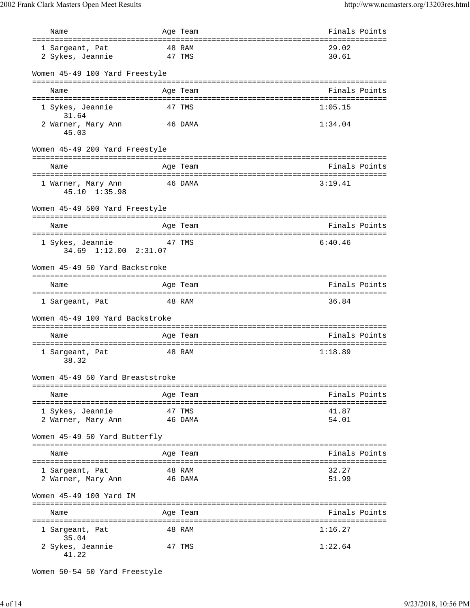| Name                                                           |                  | Age Team      | Finals Points                      |
|----------------------------------------------------------------|------------------|---------------|------------------------------------|
| ============================                                   | ==========       |               | :========================          |
| 1 Sargeant, Pat                                                |                  | 48 RAM        | 29.02                              |
| 2 Sykes, Jeannie                                               |                  | 47 TMS        | 30.61                              |
| Women 45-49 100 Yard Freestyle                                 |                  |               |                                    |
| Name                                                           |                  | Age Team      | Finals Points                      |
|                                                                |                  |               |                                    |
| 1 Sykes, Jeannie<br>31.64                                      |                  | 47 TMS        | 1:05.15                            |
| 2 Warner, Mary Ann<br>45.03                                    |                  | 46 DAMA       | 1:34.04                            |
| Women 45-49 200 Yard Freestyle                                 |                  | ============= |                                    |
| Name                                                           |                  | Age Team      | Finals Points                      |
| =======================<br>1 Warner, Mary Ann<br>45.10 1:35.98 |                  | 46 DAMA       | 3:19.41                            |
| Women 45-49 500 Yard Freestyle                                 |                  |               |                                    |
|                                                                |                  |               |                                    |
| Name                                                           |                  | Age Team      | Finals Points                      |
| 1 Sykes, Jeannie                                               |                  | 47 TMS        | 6:40.46                            |
| 34.69 1:12.00 2:31.07                                          |                  |               |                                    |
|                                                                |                  |               |                                    |
| Women 45-49 50 Yard Backstroke                                 |                  |               |                                    |
|                                                                |                  |               |                                    |
| Name                                                           |                  | Age Team      | Finals Points                      |
| 1 Sargeant, Pat                                                |                  | 48 RAM        | 36.84                              |
|                                                                |                  |               |                                    |
| Women 45-49 100 Yard Backstroke                                |                  |               |                                    |
| Name                                                           |                  | Age Team      | Finals Points                      |
|                                                                |                  |               |                                    |
| 1 Sargeant, Pat<br>38.32                                       |                  | 48 RAM        | 1:18.89                            |
|                                                                |                  |               |                                    |
| Women 45-49 50 Yard Breaststroke                               |                  | =======       |                                    |
| Name                                                           |                  | Age Team      | Finals Points                      |
|                                                                |                  |               | ---------------------------------- |
| 1 Sykes, Jeannie                                               |                  | 47 TMS        | 41.87                              |
| 2 Warner, Mary Ann                                             |                  | 46 DAMA       | 54.01                              |
| Women 45-49 50 Yard Butterfly                                  |                  |               |                                    |
| Name                                                           |                  | Age Team      | Finals Points                      |
|                                                                |                  |               |                                    |
| 1 Sarqeant, Pat                                                |                  | 48 RAM        | 32.27                              |
| 2 Warner, Mary Ann                                             |                  | 46 DAMA       | 51.99                              |
| Women 45-49 100 Yard IM                                        |                  |               |                                    |
| Name                                                           | ---------------- | Aqe Team      | Finals Points                      |
|                                                                |                  |               |                                    |
| l Sargeant, Pat<br>35.04                                       |                  | 48 RAM        | 1:16.27                            |
| 2 Sykes, Jeannie<br>41.22                                      |                  | 47 TMS        | 1:22.64                            |

```
Women 50-54 50 Yard Freestyle
```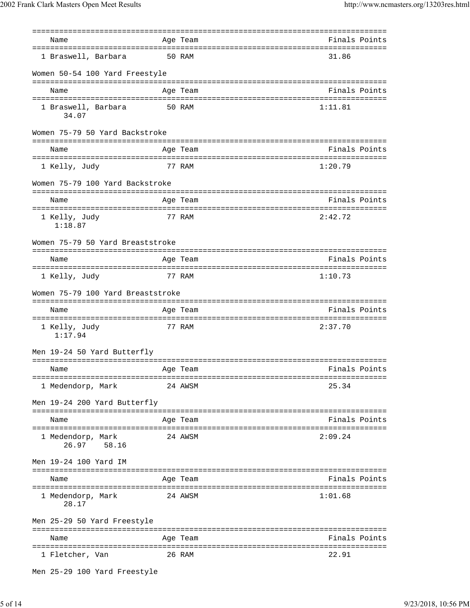|                                                   | ==========<br>================================= |               |
|---------------------------------------------------|-------------------------------------------------|---------------|
| Name                                              | Age Team                                        | Finals Points |
| 1 Braswell, Barbara                               | 50 RAM                                          | 31.86         |
| Women 50-54 100 Yard Freestyle                    |                                                 |               |
| Name                                              | Age Team                                        | Finals Points |
|                                                   |                                                 |               |
| 1 Braswell, Barbara<br>34.07                      | 50 RAM                                          | 1:11.81       |
| Women 75-79 50 Yard Backstroke<br>--------------- | ============                                    |               |
| Name                                              | Age Team                                        | Finals Points |
| 1 Kelly, Judy                                     | 77 RAM                                          | 1:20.79       |
| Women 75-79 100 Yard Backstroke                   |                                                 |               |
| Name                                              | Age Team                                        | Finals Points |
| 1 Kelly, Judy<br>1:18.87                          | 77 RAM                                          | 2:42.72       |
| Women 75-79 50 Yard Breaststroke                  |                                                 |               |
| Name                                              | Age Team                                        | Finals Points |
| 1 Kelly, Judy                                     | 77 RAM                                          | 1:10.73       |
| Women 75-79 100 Yard Breaststroke                 |                                                 |               |
| Name                                              | Age Team                                        | Finals Points |
| 1 Kelly, Judy<br>1:17.94                          | 77 RAM                                          | 2:37.70       |
| Men 19-24 50 Yard Butterfly                       |                                                 |               |
| Name                                              | Age Team                                        | Finals Points |
| 1 Medendorp, Mark                                 | 24 AWSM                                         | 25.34         |
| Men 19-24 200 Yard Butterfly                      |                                                 |               |
| Name                                              | =================================<br>Age Team   | Finals Points |
| 1 Medendorp, Mark<br>26.97 58.16                  | 24 AWSM                                         | 2:09.24       |
| Men 19-24 100 Yard IM                             |                                                 |               |
| Name                                              | Age Team                                        | Finals Points |
|                                                   |                                                 |               |
| 1 Medendorp, Mark<br>28.17                        | 24 AWSM                                         | 1:01.68       |
| Men 25-29 50 Yard Freestyle                       |                                                 |               |
| Name                                              | Age Team                                        | Finals Points |
| 1 Fletcher, Van                                   | 26 RAM                                          | 22.91         |
| Men 25-29 100 Yard Freestyle                      |                                                 |               |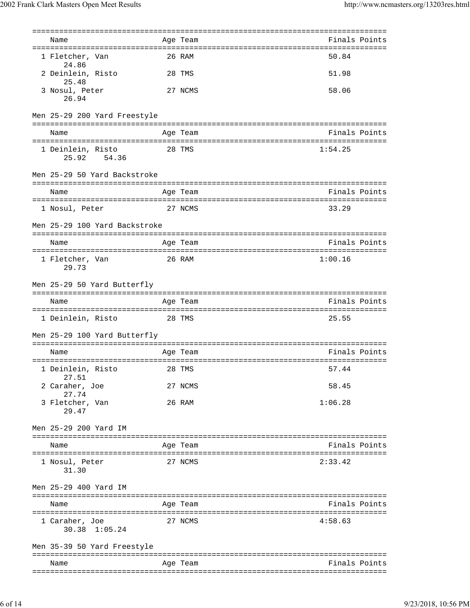| Name<br>1 Fletcher, Van<br>24.86<br>2 Deinlein, Risto   |                                                               |           | Age Team                                 | Finals Points |
|---------------------------------------------------------|---------------------------------------------------------------|-----------|------------------------------------------|---------------|
|                                                         |                                                               |           |                                          |               |
|                                                         |                                                               |           | 26 RAM                                   | 50.84         |
| 25.48                                                   |                                                               |           | 28 TMS                                   | 51.98         |
| 3 Nosul, Peter<br>26.94                                 |                                                               |           | 27 NCMS                                  | 58.06         |
|                                                         | Men 25-29 200 Yard Freestyle                                  |           |                                          |               |
| Name                                                    |                                                               |           | Age Team                                 | Finals Points |
| =========================<br>1 Deinlein, Risto<br>25.92 | =============<br>54.36                                        |           | ==============================<br>28 TMS | 1:54.25       |
|                                                         | Men 25-29 50 Yard Backstroke                                  |           |                                          |               |
| Name                                                    |                                                               |           | Age Team                                 | Finals Points |
| 1 Nosul, Peter                                          |                                                               |           | 27 NCMS                                  | 33.29         |
|                                                         | Men 25-29 100 Yard Backstroke                                 |           |                                          |               |
| Name                                                    |                                                               |           | Age Team                                 | Finals Points |
| 1 Fletcher, Van<br>29.73                                |                                                               |           | 26 RAM                                   | 1:00.16       |
|                                                         | Men 25-29 50 Yard Butterfly                                   |           |                                          |               |
| Name                                                    |                                                               |           | Age Team                                 | Finals Points |
| 1 Deinlein, Risto                                       |                                                               |           | 28 TMS                                   | 25.55         |
|                                                         | Men 25-29 100 Yard Butterfly<br>============================= |           |                                          |               |
| Name                                                    |                                                               |           | Age Team                                 | Finals Points |
| 1 Deinlein, Risto<br>27.51                              |                                                               | ========= | 28 TMS                                   | 57.44         |
| 2 Caraher, Joe                                          |                                                               |           | 27 NCMS                                  | 58.45         |
| 27.74<br>3 Fletcher, Van<br>29.47                       |                                                               |           | 26 RAM                                   | 1:06.28       |
| Men 25-29 200 Yard IM                                   |                                                               |           |                                          |               |
| Name                                                    |                                                               |           | Age Team                                 | Finals Points |
| 1 Nosul, Peter<br>31.30                                 |                                                               |           | 27 NCMS                                  | 2:33.42       |
| Men 25-29 400 Yard IM                                   |                                                               |           |                                          |               |
| Name                                                    |                                                               |           | Age Team                                 | Finals Points |
| 1 Caraher, Joe<br>30.38 1:05.24                         |                                                               |           | 27 NCMS                                  | 4:58.63       |
|                                                         | Men 35-39 50 Yard Freestyle                                   |           |                                          |               |
| Name                                                    |                                                               |           | Age Team                                 | Finals Points |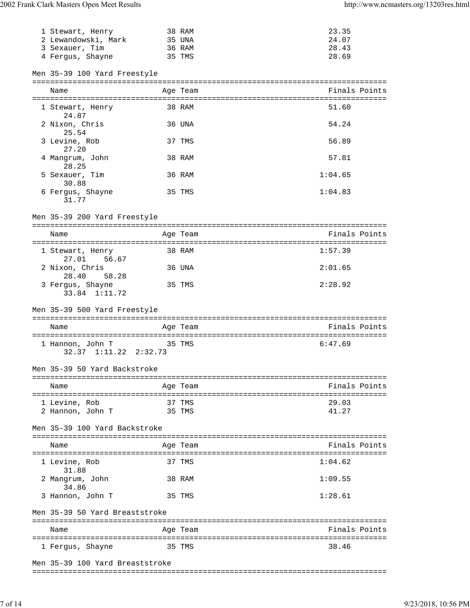| 1 Stewart, Henry                          | 38 RAM   | 23.35          |
|-------------------------------------------|----------|----------------|
| 2 Lewandowski, Mark                       | 35 UNA   | 24.07          |
| 3 Sexauer, Tim                            | 36 RAM   | 28.43<br>28.69 |
| 4 Fergus, Shayne                          | 35 TMS   |                |
| Men 35-39 100 Yard Freestyle              |          |                |
|                                           |          |                |
| Name                                      | Age Team | Finals Points  |
| 1 Stewart, Henry<br>24.87                 | 38 RAM   | 51.60          |
| 2 Nixon, Chris<br>25.54                   | 36 UNA   | 54.24          |
| 3 Levine, Rob<br>27.20                    | 37 TMS   | 56.89          |
| 4 Mangrum, John<br>28.25                  | 38 RAM   | 57.81          |
| 5 Sexauer, Tim<br>30.88                   | 36 RAM   | 1:04.65        |
| 6 Fergus, Shayne<br>31.77                 | 35 TMS   | 1:04.83        |
| Men 35-39 200 Yard Freestyle              |          |                |
| Name                                      | Age Team | Finals Points  |
|                                           |          |                |
| 1 Stewart, Henry<br>27.01<br>56.67        | 38 RAM   | 1:57.39        |
| 2 Nixon, Chris<br>28.40<br>58.28          | 36 UNA   | 2:01.65        |
| 3 Fergus, Shayne                          | 35 TMS   | 2:28.92        |
|                                           |          |                |
| 33.84 1:11.72                             |          |                |
| Men 35-39 500 Yard Freestyle              |          |                |
| Name                                      | Age Team | Finals Points  |
|                                           |          |                |
| 1 Hannon, John T<br>32.37 1:11.22 2:32.73 | 35 TMS   | 6:47.69        |
| Men 35-39 50 Yard Backstroke              |          |                |
| Name                                      | Age Team | Finals Points  |
|                                           | 37 TMS   | 29.03          |
| 1 Levine, Rob<br>2 Hannon, John T         | 35 TMS   | 41.27          |
| Men 35-39 100 Yard Backstroke             |          |                |
|                                           |          |                |
| Name                                      | Age Team | Finals Points  |
| 1 Levine, Rob                             | 37 TMS   | 1:04.62        |
| 31.88<br>2 Mangrum, John                  | 38 RAM   | 1:09.55        |
| 34.86<br>3 Hannon, John T                 | 35 TMS   | 1:28.61        |
| Men 35-39 50 Yard Breaststroke            |          |                |
| Name                                      | Age Team | Finals Points  |
| 1 Fergus, Shayne                          | 35 TMS   | 38.46          |

===============================================================================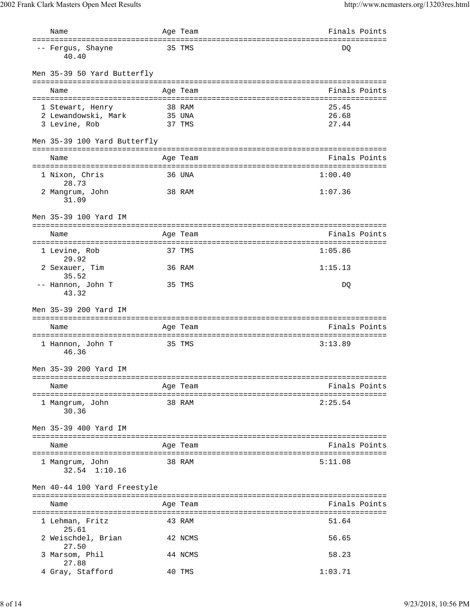| Name                                                | Age Team                                            | Finals Points  |
|-----------------------------------------------------|-----------------------------------------------------|----------------|
| =====================<br>-- Fergus, Shayne<br>40.40 | 35 TMS                                              | DQ             |
| Men 35-39 50 Yard Butterfly                         |                                                     |                |
| Name                                                | Age Team                                            | Finals Points  |
|                                                     |                                                     |                |
| 1 Stewart, Henry                                    | 38 RAM                                              | 25.45          |
| 2 Lewandowski, Mark                                 | 35 UNA                                              | 26.68<br>27.44 |
| 3 Levine, Rob                                       | 37 TMS                                              |                |
| Men 35-39 100 Yard Butterfly                        | ===========                                         |                |
| Name                                                | Age Team                                            | Finals Points  |
| :====================                               | ================================<br>=============== |                |
| 1 Nixon, Chris<br>28.73                             | 36 UNA                                              | 1:00.40        |
| 2 Mangrum, John<br>31.09                            | 38 RAM                                              | 1:07.36        |
| Men 35-39 100 Yard IM                               |                                                     |                |
| Name                                                | Age Team                                            | Finals Points  |
| 1 Levine, Rob<br>29.92                              | 37 TMS                                              | 1:05.86        |
| 2 Sexauer, Tim<br>35.52                             | 36 RAM                                              | 1:15.13        |
| -- Hannon, John T<br>43.32                          | 35 TMS                                              | DQ             |
| Men 35-39 200 Yard IM                               |                                                     |                |
| Name                                                | Age Team                                            | Finals Points  |
| 1 Hannon, John T<br>46.36                           | 35 TMS                                              | 3:13.89        |
| Men 35-39 200 Yard IM                               |                                                     |                |
| Name                                                | Age Team                                            | Finals Points  |
| 1 Mangrum, John<br>30.36                            | 38 RAM                                              | 2:25.54        |
| Men 35-39 400 Yard IM                               |                                                     |                |
| Name                                                | Age Team                                            | Finals Points  |
| 1 Mangrum, John<br>32.54 1:10.16                    | 38 RAM                                              | 5:11.08        |
| Men 40-44 100 Yard Freestyle                        |                                                     |                |
| Name                                                | Age Team                                            | Finals Points  |
| 1 Lehman, Fritz<br>25.61                            | 43 RAM                                              | 51.64          |
| 2 Weischdel, Brian<br>27.50                         | 42 NCMS                                             | 56.65          |
| 3 Marsom, Phil<br>27.88                             | 44 NCMS                                             | 58.23          |
| 4 Gray, Stafford                                    | 40 TMS                                              | 1:03.71        |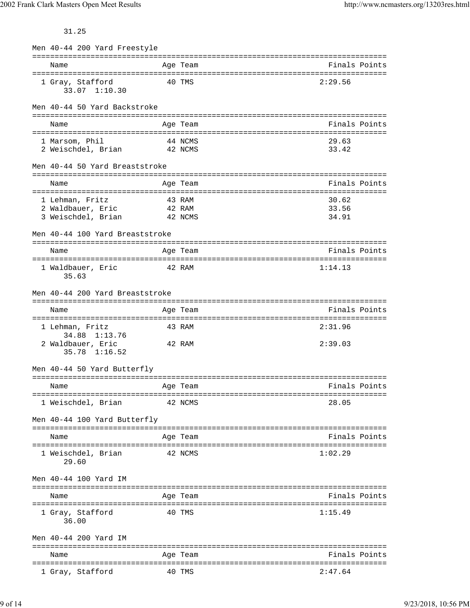31.25

| Men 40-44 200 Yard Freestyle            |         |          |                                                     |
|-----------------------------------------|---------|----------|-----------------------------------------------------|
| Name                                    |         | Age Team | ==================================<br>Finals Points |
| 1 Gray, Stafford<br>33.07 1:10.30       |         | 40 TMS   | 2:29.56                                             |
| Men 40-44 50 Yard Backstroke            |         |          |                                                     |
| Name                                    |         | Age Team | Finals Points                                       |
|                                         |         |          |                                                     |
| 1 Marsom, Phil<br>2 Weischdel, Brian    | 42 NCMS | 44 NCMS  | 29.63<br>33.42                                      |
| Men 40-44 50 Yard Breaststroke          |         |          |                                                     |
| Name                                    |         | Age Team | Finals Points                                       |
|                                         |         |          |                                                     |
| 1 Lehman, Fritz                         | 43 RAM  |          | 30.62                                               |
| 2 Waldbauer, Eric<br>3 Weischdel, Brian | 42 RAM  | 42 NCMS  | 33.56<br>34.91                                      |
|                                         |         |          |                                                     |
| Men 40-44 100 Yard Breaststroke         |         |          |                                                     |
|                                         |         |          |                                                     |
| Name                                    |         | Age Team | Finals Points                                       |
| 1 Waldbauer, Eric<br>35.63              | 42 RAM  |          | 1:14.13                                             |
| Men 40-44 200 Yard Breaststroke         |         |          |                                                     |
| Name                                    |         | Age Team | Finals Points                                       |
| 1 Lehman, Fritz<br>34.88 1:13.76        |         | 43 RAM   | 2:31.96                                             |
| 2 Waldbauer, Eric<br>$35.78$ $1:16.52$  |         | 42 RAM   | 2:39.03                                             |
| Men 40-44 50 Yard Butterfly             |         |          |                                                     |
| Name                                    |         | Age Team | Finals Points                                       |
|                                         |         |          |                                                     |
| 1 Weischdel, Brian                      |         | 42 NCMS  | 28.05                                               |
| Men 40-44 100 Yard Butterfly            |         |          |                                                     |
| Name                                    |         | Age Team | Finals Points                                       |
|                                         |         |          |                                                     |
| 1 Weischdel, Brian<br>29.60             |         | 42 NCMS  | 1:02.29                                             |
| Men 40-44 100 Yard IM                   |         |          |                                                     |
| Name                                    |         | Age Team | Finals Points                                       |
| 1 Gray, Stafford<br>36.00               |         | 40 TMS   | 1:15.49                                             |
| Men 40-44 200 Yard IM                   |         |          |                                                     |
| Name                                    |         | Age Team | Finals Points                                       |
| 1 Gray, Stafford                        |         | 40 TMS   | 2:47.64                                             |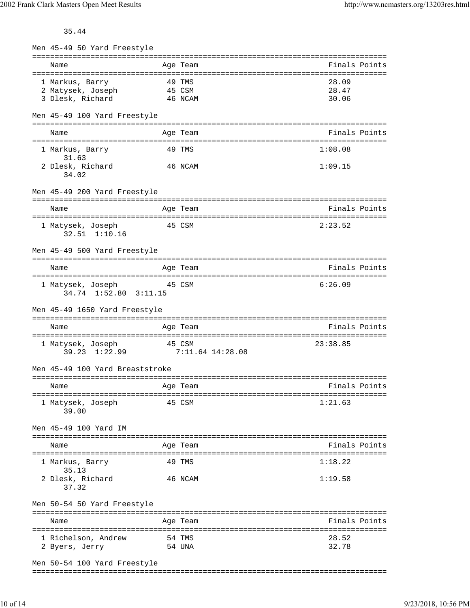2002 Frank Clark Masters Open Meet Results http://www.ncmasters.org/13203res.html

35.44

| Men 45-49 50 Yard Freestyle                         |        |                  |                |
|-----------------------------------------------------|--------|------------------|----------------|
| Name                                                |        | Age Team         | Finals Points  |
| 1 Markus, Barry                                     | 49 TMS |                  | 28.09          |
| 45 CSM<br>2 Matysek, Joseph                         |        |                  | 28.47          |
| 3 Dlesk, Richard                                    |        | 46 NCAM          | 30.06          |
| Men 45-49 100 Yard Freestyle                        |        |                  |                |
| Name                                                |        | Age Team         | Finals Points  |
| 1 Markus, Barry<br>31.63                            | 49 TMS |                  | 1:08.08        |
| 2 Dlesk, Richard<br>34.02                           |        | 46 NCAM          | 1:09.15        |
| Men 45-49 200 Yard Freestyle                        |        |                  |                |
| Name                                                |        | Age Team         | Finals Points  |
|                                                     |        |                  |                |
| 1 Matysek, Joseph<br>$32.51$ $1:10.16$              |        | 45 CSM           | 2:23.52        |
| Men 45-49 500 Yard Freestyle                        |        |                  |                |
| Name                                                |        | Age Team         | Finals Points  |
| 1 Matysek, Joseph<br>34.74 1:52.80 3:11.15          |        | 45 CSM           | 6:26.09        |
|                                                     |        |                  |                |
| Men 45-49 1650 Yard Freestyle                       |        |                  |                |
| Name                                                |        | Age Team         | Finals Points  |
| 1 Matysek, Joseph<br>39.23 1:22.99 7:11.64 14:28.08 |        | 45 CSM           | 23:38.85       |
| Men 45-49 100 Yard Breaststroke                     |        |                  |                |
| Age Team<br>Name                                    |        |                  | Finals Points  |
| 1 Matysek, Joseph<br>39.00                          |        | 45 CSM           | 1:21.63        |
| Men 45-49 100 Yard IM                               |        |                  |                |
| Name                                                |        | Age Team         | Finals Points  |
| 1 Markus, Barry                                     |        | 49 TMS           | 1:18.22        |
| 35.13<br>2 Dlesk, Richard<br>37.32                  |        | 46 NCAM          | 1:19.58        |
| Men 50-54 50 Yard Freestyle                         |        |                  |                |
| Name                                                |        | Age Team         | Finals Points  |
| 1 Richelson, Andrew<br>2 Byers, Jerry               |        | 54 TMS<br>54 UNA | 28.52<br>32.78 |

Men 50-54 100 Yard Freestyle

===============================================================================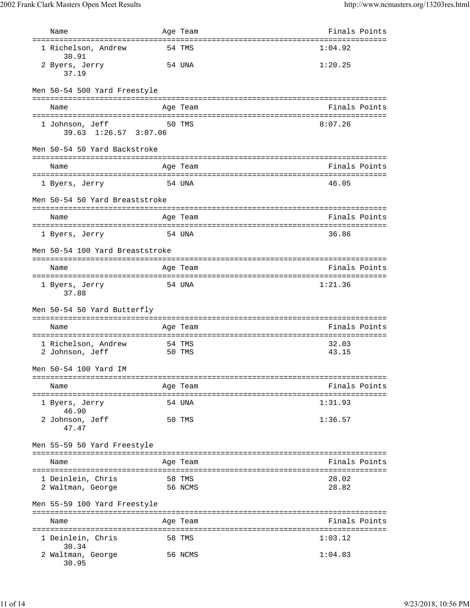| Name                                                                | Age Team                                       | Finals Points  |
|---------------------------------------------------------------------|------------------------------------------------|----------------|
| ===================================<br>1 Richelson, Andrew<br>30.91 | =================================<br>54 TMS    | 1:04.92        |
| 2 Byers, Jerry<br>37.19                                             | 54 UNA                                         | 1:20.25        |
| Men 50-54 500 Yard Freestyle                                        |                                                |                |
| Name                                                                | Age Team                                       | Finals Points  |
| 1 Johnson, Jeff<br>39.63 1:26.57 3:07.06                            | 50 TMS                                         | 8:07.26        |
| Men 50-54 50 Yard Backstroke                                        |                                                |                |
| Name                                                                | Age Team                                       | Finals Points  |
| 1 Byers, Jerry                                                      | 54 UNA                                         | 46.05          |
| Men 50-54 50 Yard Breaststroke                                      |                                                |                |
| Name                                                                | Age Team                                       | Finals Points  |
| 1 Byers, Jerry                                                      | 54 UNA                                         | 36.86          |
| Men 50-54 100 Yard Breaststroke                                     |                                                |                |
| Name                                                                | Age Team<br>================================== | Finals Points  |
| 1 Byers, Jerry<br>37.88                                             | 54 UNA                                         | 1:21.36        |
| Men 50-54 50 Yard Butterfly                                         |                                                |                |
| Name                                                                | Age Team                                       | Finals Points  |
| 1 Richelson, Andrew<br>2 Johnson, Jeff                              | 54 TMS<br>50 TMS                               | 32.03<br>43.15 |
| Men 50-54 100 Yard IM                                               |                                                |                |
| Name                                                                | Age Team                                       | Finals Points  |
| 1 Byers, Jerry<br>46.90                                             | 54 UNA                                         | 1:31.93        |
| 2 Johnson, Jeff<br>47.47                                            | 50 TMS                                         | 1:36.57        |
| Men 55-59 50 Yard Freestyle                                         |                                                |                |
| Name                                                                | Age Team                                       | Finals Points  |
| 1 Deinlein, Chris<br>2 Waltman, George                              | 58 TMS<br>56 NCMS                              | 28.02<br>28.82 |
| Men 55-59 100 Yard Freestyle                                        | ======================================         |                |
| Name                                                                | Age Team                                       | Finals Points  |
| 1 Deinlein, Chris<br>30.34                                          | 58 TMS                                         | 1:03.12        |
| 2 Waltman, George<br>30.95                                          | 56 NCMS                                        | 1:04.83        |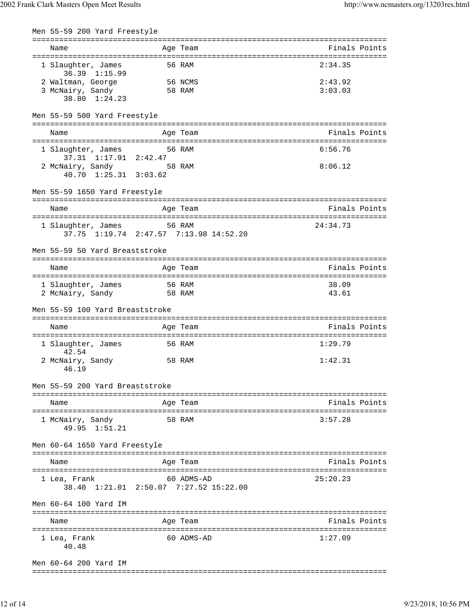| Men 55-59 200 Yard Freestyle              |        |                                                      |               |
|-------------------------------------------|--------|------------------------------------------------------|---------------|
| Name                                      |        | Age Team                                             | Finals Points |
| 1 Slaughter, James<br>36.39 1:15.99       |        | 56 RAM                                               | 2:34.35       |
| 2 Waltman, George                         |        | 56 NCMS                                              | 2:43.92       |
| 3 McNairy, Sandy<br>38.80 1:24.23         |        | 58 RAM                                               | 3:03.03       |
| Men 55-59 500 Yard Freestyle              |        |                                                      |               |
| Name                                      |        | Age Team                                             | Finals Points |
| 1 Slaughter, James                        |        | 56 RAM                                               | 6:56.76       |
| 37.31 1:17.91 2:42.47                     |        |                                                      |               |
| 2 McNairy, Sandy<br>40.70 1:25.31 3:03.62 |        | 58 RAM                                               | 8:06.12       |
| Men 55-59 1650 Yard Freestyle             |        |                                                      |               |
| Name                                      |        | Age Team                                             | Finals Points |
| 1 Slaughter, James 56 RAM                 |        | 37.75 1:19.74 2:47.57 7:13.98 14:52.20               | 24:34.73      |
| Men 55-59 50 Yard Breaststroke            |        |                                                      |               |
|                                           |        |                                                      |               |
| Name                                      |        | Age Team                                             | Finals Points |
| 1 Slaughter, James                        | 56 RAM |                                                      | 38.09         |
| 2 McNairy, Sandy                          | 58 RAM |                                                      | 43.61         |
| Men 55-59 100 Yard Breaststroke           |        |                                                      |               |
| Name                                      |        | Age Team                                             | Finals Points |
| 1 Slaughter, James<br>42.54               |        | 56 RAM                                               | 1:29.79       |
| 2 McNairy, Sandy<br>46.19                 |        | 58 RAM                                               | 1:42.31       |
| Men 55-59 200 Yard Breaststroke           |        |                                                      |               |
| Name                                      |        | Age Team                                             | Finals Points |
| 1 McNairy, Sandy<br>49.95 1:51.21         |        | 58 RAM                                               | 3:57.28       |
| Men 60-64 1650 Yard Freestyle             |        |                                                      |               |
| Name                                      |        | Age Team                                             | Finals Points |
| 1 Lea, Frank                              |        | 60 ADMS-AD<br>38.40 1:21.01 2:50.07 7:27.52 15:22.00 | 25:20.23      |
| Men 60-64 100 Yard IM                     |        |                                                      |               |
| Name                                      |        | Age Team                                             | Finals Points |
| 1 Lea, Frank<br>40.48                     |        | 60 ADMS-AD                                           | 1:27.09       |
| Men 60-64 200 Yard IM                     |        |                                                      |               |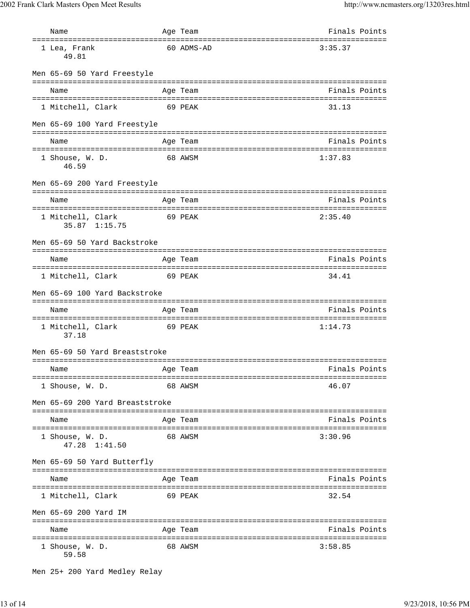|                                 | Name                                          |  | Age Team         | Finals Points                     |  |
|---------------------------------|-----------------------------------------------|--|------------------|-----------------------------------|--|
|                                 | ====================<br>1 Lea, Frank<br>49.81 |  | 60 ADMS-AD       | 3:35.37                           |  |
|                                 | Men 65-69 50 Yard Freestyle                   |  |                  |                                   |  |
|                                 | Name                                          |  | Age Team         | Finals Points                     |  |
|                                 | 1 Mitchell, Clark                             |  | 69 PEAK          | 31.13                             |  |
|                                 | Men 65-69 100 Yard Freestyle                  |  |                  |                                   |  |
|                                 | Name                                          |  | Age Team         | Finals Points                     |  |
|                                 | 1 Shouse, W. D.<br>46.59                      |  | 68 AWSM          | 1:37.83                           |  |
|                                 | Men 65-69 200 Yard Freestyle                  |  |                  |                                   |  |
|                                 | Name                                          |  | Age Team         | Finals Points                     |  |
|                                 | 1 Mitchell, Clark<br>35.87 1:15.75            |  | 69 PEAK          | 2:35.40                           |  |
|                                 | Men 65-69 50 Yard Backstroke                  |  | ================ | ================================= |  |
|                                 | Name                                          |  | Age Team         | Finals Points                     |  |
|                                 | 1 Mitchell, Clark<br>69 PEAK                  |  |                  | 34.41                             |  |
|                                 | Men 65-69 100 Yard Backstroke                 |  |                  |                                   |  |
|                                 | Name                                          |  | Age Team         | Finals Points                     |  |
|                                 | 1 Mitchell, Clark<br>37.18                    |  | 69 PEAK          | 1:14.73                           |  |
|                                 | Men 65-69 50 Yard Breaststroke                |  |                  |                                   |  |
|                                 | Name                                          |  | Age Team         | Finals Points                     |  |
|                                 | 1 Shouse, W. D.                               |  | 68 AWSM          | 46.07                             |  |
| Men 65-69 200 Yard Breaststroke |                                               |  |                  |                                   |  |
|                                 | Name                                          |  | Age Team         | Finals Points                     |  |
|                                 | 1 Shouse, W. D.<br>47.28 1:41.50              |  | 68 AWSM          | 3:30.96                           |  |
|                                 | Men 65-69 50 Yard Butterfly                   |  |                  |                                   |  |
|                                 | Name                                          |  | Age Team         | Finals Points                     |  |
|                                 | 1 Mitchell, Clark                             |  | 69 PEAK          | 32.54                             |  |
|                                 | Men 65-69 200 Yard IM                         |  |                  |                                   |  |
|                                 | Name                                          |  | Age Team         | Finals Points                     |  |
|                                 | 1 Shouse, W. D.<br>59.58                      |  | 68 AWSM          | 3:58.85                           |  |

Men 25+ 200 Yard Medley Relay